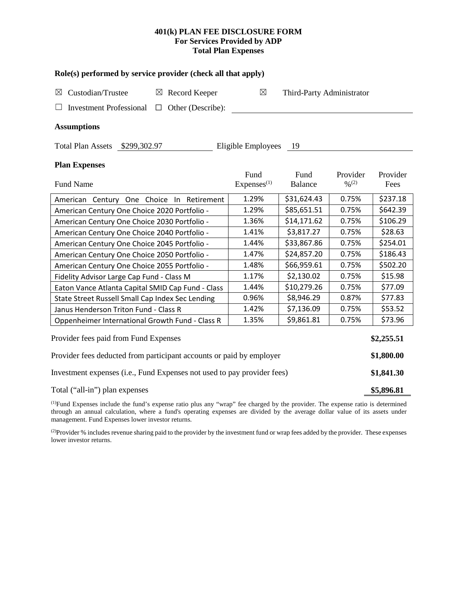## **401(k) PLAN FEE DISCLOSURE FORM For Services Provided by ADP Total Plan Expenses**

| Role(s) performed by service provider (check all that apply)            |                                |                           |                         |                  |  |  |  |  |  |
|-------------------------------------------------------------------------|--------------------------------|---------------------------|-------------------------|------------------|--|--|--|--|--|
| Custodian/Trustee<br>$\boxtimes$ Record Keeper<br>$\boxtimes$           | ⊠                              | Third-Party Administrator |                         |                  |  |  |  |  |  |
| Other (Describe):<br><b>Investment Professional</b><br>$\Box$           |                                |                           |                         |                  |  |  |  |  |  |
| <b>Assumptions</b>                                                      |                                |                           |                         |                  |  |  |  |  |  |
| Total Plan Assets \$299,302.97                                          | Eligible Employees             | - 19                      |                         |                  |  |  |  |  |  |
| <b>Plan Expenses</b>                                                    |                                |                           |                         |                  |  |  |  |  |  |
| <b>Fund Name</b>                                                        | Fund<br>Express <sup>(1)</sup> | Fund<br><b>Balance</b>    | Provider<br>$0/0^{(2)}$ | Provider<br>Fees |  |  |  |  |  |
| American Century One Choice In Retirement                               | 1.29%                          | \$31,624.43               | 0.75%                   | \$237.18         |  |  |  |  |  |
| American Century One Choice 2020 Portfolio -                            | 1.29%                          | \$85,651.51               | 0.75%                   | \$642.39         |  |  |  |  |  |
| American Century One Choice 2030 Portfolio -                            | 1.36%                          | \$14,171.62               | 0.75%                   | \$106.29         |  |  |  |  |  |
| American Century One Choice 2040 Portfolio -                            | 1.41%                          | \$3,817.27                | 0.75%                   | \$28.63          |  |  |  |  |  |
| American Century One Choice 2045 Portfolio -                            | 1.44%                          | \$33,867.86               | 0.75%                   | \$254.01         |  |  |  |  |  |
| American Century One Choice 2050 Portfolio -                            | 1.47%                          | \$24,857.20               | 0.75%                   | \$186.43         |  |  |  |  |  |
| American Century One Choice 2055 Portfolio -                            | 1.48%                          | \$66,959.61               | 0.75%                   | \$502.20         |  |  |  |  |  |
| Fidelity Advisor Large Cap Fund - Class M                               | 1.17%                          | \$2,130.02                | 0.75%                   | \$15.98          |  |  |  |  |  |
| Eaton Vance Atlanta Capital SMID Cap Fund - Class                       | 1.44%                          | \$10,279.26               | 0.75%                   | \$77.09          |  |  |  |  |  |
| State Street Russell Small Cap Index Sec Lending                        | 0.96%                          | \$8,946.29                | 0.87%                   | \$77.83          |  |  |  |  |  |
| Janus Henderson Triton Fund - Class R                                   | 1.42%                          | \$7,136.09                | 0.75%                   | \$53.52          |  |  |  |  |  |
| Oppenheimer International Growth Fund - Class R                         | 1.35%                          | \$9,861.81                | 0.75%                   | \$73.96          |  |  |  |  |  |
| Provider fees paid from Fund Expenses                                   |                                |                           |                         | \$2,255.51       |  |  |  |  |  |
| Provider fees deducted from participant accounts or paid by employer    |                                |                           |                         |                  |  |  |  |  |  |
| Investment expenses (i.e., Fund Expenses not used to pay provider fees) |                                |                           |                         |                  |  |  |  |  |  |
| Total ("all-in") plan expenses                                          |                                |                           |                         |                  |  |  |  |  |  |

(1) Fund Expenses include the fund's expense ratio plus any "wrap" fee charged by the provider. The expense ratio is determined through an annual calculation, where a fund's operating expenses are divided by the average dollar value of its assets under management. Fund Expenses lower investor returns.

(2) Provider % includes revenue sharing paid to the provider by the investment fund or wrap fees added by the provider. These expenses lower investor returns.